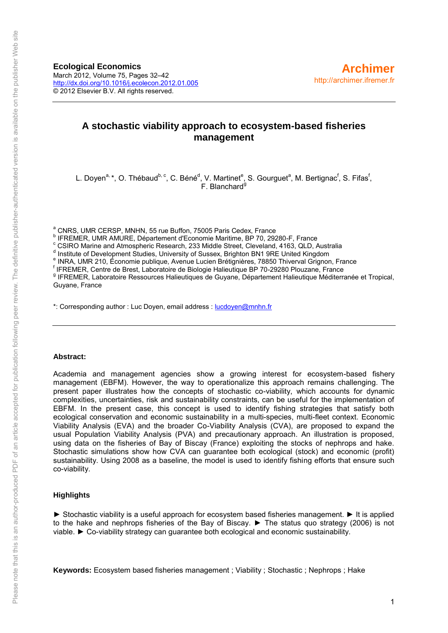**Ecological Economics** March 2012, Volume 75, Pages 32–42 <http://dx.doi.org/10.1016/j.ecolecon.2012.01.005> © 2012 Elsevier B.V. All rights reserved.

# **A stochastic viability approach to ecosystem-based fisheries management**

L. Doyen<sup>a,</sup> \*, O. Thébaud<sup>b, c</sup>, C. Béné<sup>d</sup>, V. Martinet<sup>e</sup>, S. Gourguet<sup>a</sup>, M. Bertignac<sup>f</sup>, S. Fifas<sup>f</sup>,  $F.$  Blanchard<sup>9</sup>

<sup>a</sup> CNRS, UMR CERSP, MNHN, 55 rue Buffon, 75005 Paris Cedex, France

<sup>c</sup> CSIRO Marine and Atmospheric Research, 233 Middle Street, Cleveland, 4163, QLD, Australia

<sup>d</sup> Institute of Development Studies, University of Sussex, Brighton BN1 9RE United Kingdom

f IFREMER, Centre de Brest, Laboratoire de Biologie Halieutique BP 70-29280 Plouzane, France

<sup>g</sup> IFREMER, Laboratoire Ressources Halieutiques de Guyane, Département Halieutique Méditerranée et Tropical, Guyane, France

\*: Corresponding author : Luc Doyen, email address : [lucdoyen@mnhn.fr](mailto:lucdoyen@mnhn.fr)

#### **Abstract:**

Academia and management agencies show a growing interest for ecosystem-based fishery management (EBFM). However, the way to operationalize this approach remains challenging. The present paper illustrates how the concepts of stochastic co-viability, which accounts for dynamic complexities, uncertainties, risk and sustainability constraints, can be useful for the implementation of EBFM. In the present case, this concept is used to identify fishing strategies that satisfy both ecological conservation and economic sustainability in a multi-species, multi-fleet context. Economic Viability Analysis (EVA) and the broader Co-Viability Analysis (CVA), are proposed to expand the usual Population Viability Analysis (PVA) and precautionary approach. An illustration is proposed, using data on the fisheries of Bay of Biscay (France) exploiting the stocks of nephrops and hake. Stochastic simulations show how CVA can guarantee both ecological (stock) and economic (profit) sustainability. Using 2008 as a baseline, the model is used to identify fishing efforts that ensure such co-viability.

#### **Highlights**

► Stochastic viability is a useful approach for ecosystem based fisheries management. ► It is applied to the hake and nephrops fisheries of the Bay of Biscay. ► The status quo strategy (2006) is not viable. ► Co-viability strategy can guarantee both ecological and economic sustainability.

**Keywords:** Ecosystem based fisheries management ; Viability ; Stochastic ; Nephrops ; Hake

b IFREMER, UMR AMURE, Département d'Economie Maritime, BP 70, 29280-F, France

e INRA, UMR 210, Économie publique, Avenue Lucien Brétignières, 78850 Thiverval Grignon, France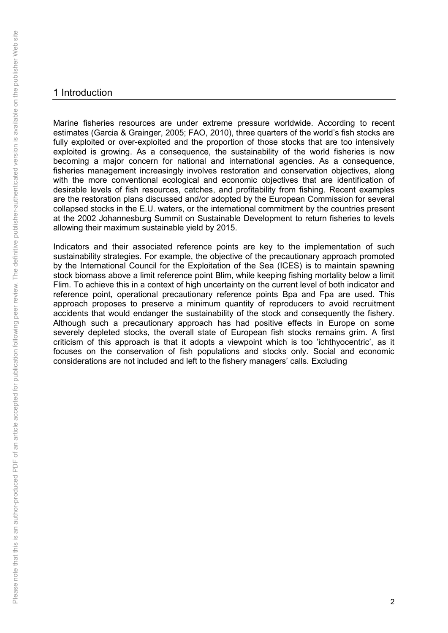# 1 Introduction

Marine fisheries resources are under extreme pressure worldwide. According to recent estimates (Garcia & Grainger, 2005; FAO, 2010), three quarters of the world's fish stocks are fully exploited or over-exploited and the proportion of those stocks that are too intensively exploited is growing. As a consequence, the sustainability of the world fisheries is now becoming a major concern for national and international agencies. As a consequence, fisheries management increasingly involves restoration and conservation objectives, along with the more conventional ecological and economic objectives that are identification of desirable levels of fish resources, catches, and profitability from fishing. Recent examples are the restoration plans discussed and/or adopted by the European Commission for several collapsed stocks in the E.U. waters, or the international commitment by the countries present at the 2002 Johannesburg Summit on Sustainable Development to return fisheries to levels allowing their maximum sustainable yield by 2015.

Indicators and their associated reference points are key to the implementation of such sustainability strategies. For example, the objective of the precautionary approach promoted by the International Council for the Exploitation of the Sea (ICES) is to maintain spawning stock biomass above a limit reference point Blim, while keeping fishing mortality below a limit Flim. To achieve this in a context of high uncertainty on the current level of both indicator and reference point, operational precautionary reference points Bpa and Fpa are used. This approach proposes to preserve a minimum quantity of reproducers to avoid recruitment accidents that would endanger the sustainability of the stock and consequently the fishery. Although such a precautionary approach has had positive effects in Europe on some severely depleted stocks, the overall state of European fish stocks remains grim. A first criticism of this approach is that it adopts a viewpoint which is too 'ichthyocentric', as it focuses on the conservation of fish populations and stocks only. Social and economic considerations are not included and left to the fishery managers' calls. Excluding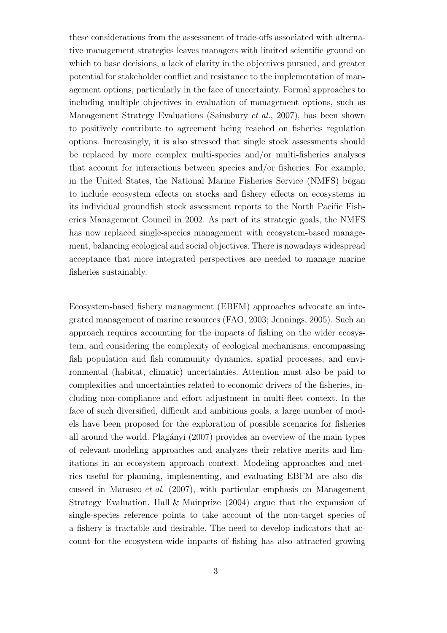these considerations from the assessment of trade-offs associated with alternative management strategies leaves managers with limited scientific ground on which to base decisions, a lack of clarity in the objectives pursued, and greater potential for stakeholder conflict and resistance to the implementation of management options, particularly in the face of uncertainty. Formal approaches to including multiple objectives in evaluation of management options, such as Management Strategy Evaluations [\(Sainsbury](#page-21-0) et al., [2007\)](#page-21-0), has been shown to positively contribute to agreement being reached on fisheries regulation options. Increasingly, it is also stressed that single stock assessments should be replaced by more complex multi-species and/or multi-fisheries analyses that account for interactions between species and/or fisheries. For example, in the United States, the National Marine Fisheries Service (NMFS) began to include ecosystem effects on stocks and fishery effects on ecosystems in its individual groundfish stock assessment reports to the North Pacific Fisheries Management Council in 2002. As part of its strategic goals, the NMFS has now replaced single-species management with ecosystem-based management, balancing ecological and social objectives. There is nowadays widespread acceptance that more integrated perspectives are needed to manage marine fisheries sustainably.

Ecosystem-based fishery management (EBFM) approaches advocate an integrated management of marine resources [\(FAO, 2003;](#page-20-0) [Jennings, 2005](#page-20-1)). Such an approach requires accounting for the impacts of fishing on the wider ecosystem, and considering the complexity of ecological mechanisms, encompassing fish population and fish community dynamics, spatial processes, and environmental (habitat, climatic) uncertainties. Attention must also be paid to complexities and uncertainties related to economic drivers of the fisheries, including non-compliance and effort adjustment in multi-fleet context. In the face of such diversified, difficult and ambitious goals, a large number of models have been proposed for the exploration of possible scenarios for fisheries all around the world. Plagányi (2007) provides an overview of the main types of relevant modeling approaches and analyzes their relative merits and limitations in an ecosystem approach context. Modeling approaches and metrics useful for planning, implementing, and evaluating EBFM are also discussed in [Marasco](#page-20-2) et al. [\(2007](#page-20-2)), with particular emphasis on Management Strategy Evaluation. [Hall & Mainprize \(2004\)](#page-20-3) argue that the expansion of single-species reference points to take account of the non-target species of a fishery is tractable and desirable. The need to develop indicators that account for the ecosystem-wide impacts of fishing has also attracted growing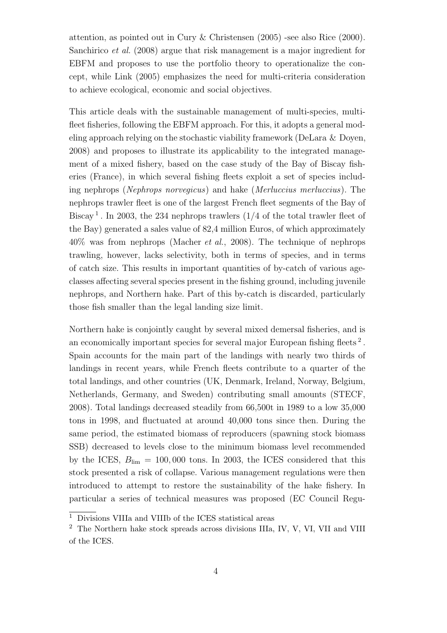attention, as pointed out in [Cury & Christensen \(2005](#page-20-4)) -see also [Rice \(2000\)](#page-21-2). [Sanchirico](#page-21-3) et al. [\(2008\)](#page-21-3) argue that risk management is a major ingredient for EBFM and proposes to use the portfolio theory to operationalize the concept, while [Link \(2005\)](#page-20-5) emphasizes the need for multi-criteria consideration to achieve ecological, economic and social objectives.

This article deals with the sustainable management of multi-species, multifleet fisheries, following the EBFM approach. For this, it adopts a general modeling approach relying on the stochastic viability framework [\(DeLara & Doyen,](#page-20-6) [2008](#page-20-6)) and proposes to illustrate its applicability to the integrated management of a mixed fishery, based on the case study of the Bay of Biscay fisheries (France), in which several fishing fleets exploit a set of species including nephrops (Nephrops norvegicus) and hake (Merluccius merluccius). The nephrops trawler fleet is one of the largest French fleet segments of the Bay of Biscay<sup>[1](#page-3-0)</sup>. In 2003, the 234 nephrops trawlers  $(1/4)$  of the total trawler fleet of the Bay) generated a sales value of 82,4 million Euros, of which approximately 40% was from nephrops [\(Macher](#page-20-7) et al., [2008](#page-20-7)). The technique of nephrops trawling, however, lacks selectivity, both in terms of species, and in terms of catch size. This results in important quantities of by-catch of various ageclasses affecting several species present in the fishing ground, including juvenile nephrops, and Northern hake. Part of this by-catch is discarded, particularly those fish smaller than the legal landing size limit.

Northern hake is conjointly caught by several mixed demersal fisheries, and is an economically important species for several major European fishing fleets<sup>[2](#page-3-1)</sup>. Spain accounts for the main part of the landings with nearly two thirds of landings in recent years, while French fleets contribute to a quarter of the total landings, and other countries (UK, Denmark, Ireland, Norway, Belgium, Netherlands, Germany, and Sweden) contributing small amounts [\(STECF](#page-21-4), [2008](#page-21-4)). Total landings decreased steadily from 66,500t in 1989 to a low 35,000 tons in 1998, and fluctuated at around 40,000 tons since then. During the same period, the estimated biomass of reproducers (spawning stock biomass SSB) decreased to levels close to the minimum biomass level recommended by the ICES,  $B_{\text{lim}} = 100,000$  tons. In 2003, the ICES considered that this stock presented a risk of collapse. Various management regulations were then introduced to attempt to restore the sustainability of the hake fishery. In particular a series of technical measures was proposed (EC Council Regu-

<sup>1</sup> Divisions VIIIa and VIIIb of the ICES statistical areas

<span id="page-3-1"></span><span id="page-3-0"></span><sup>2</sup> The Northern hake stock spreads across divisions IIIa, IV, V, VI, VII and VIII of the ICES.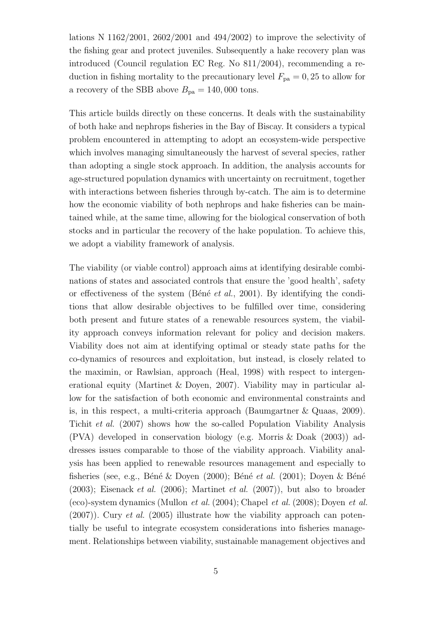lations N  $1162/2001$ ,  $2602/2001$  and  $494/2002$ ) to improve the selectivity of the fishing gear and protect juveniles. Subsequently a hake recovery plan was introduced (Council regulation EC Reg. No 811/2004), recommending a reduction in fishing mortality to the precautionary level  $F_{pa} = 0, 25$  to allow for a recovery of the SBB above  $B_{\text{pa}} = 140,000$  tons.

This article builds directly on these concerns. It deals with the sustainability of both hake and nephrops fisheries in the Bay of Biscay. It considers a typical problem encountered in attempting to adopt an ecosystem-wide perspective which involves managing simultaneously the harvest of several species, rather than adopting a single stock approach. In addition, the analysis accounts for age-structured population dynamics with uncertainty on recruitment, together with interactions between fisheries through by-catch. The aim is to determine how the economic viability of both nephrops and hake fisheries can be maintained while, at the same time, allowing for the biological conservation of both stocks and in particular the recovery of the hake population. To achieve this, we adopt a viability framework of analysis.

The viability (or viable control) approach aims at identifying desirable combinations of states and associated controls that ensure the 'good health', safety or effectiveness of the system (Béné et al., [2001](#page-19-0)). By identifying the conditions that allow desirable objectives to be fulfilled over time, considering both present and future states of a renewable resources system, the viability approach conveys information relevant for policy and decision makers. Viability does not aim at identifying optimal or steady state paths for the co-dynamics of resources and exploitation, but instead, is closely related to the maximin, or Rawlsian, approach [\(Heal](#page-20-8), [1998\)](#page-20-8) with respect to intergenerational equity [\(Martinet & Doyen, 2007\)](#page-21-5). Viability may in particular allow for the satisfaction of both economic and environmental constraints and is, in this respect, a multi-criteria approach [\(Baumgartner & Quaas, 2009\)](#page-19-1). [Tichit](#page-21-6) et al. [\(2007\)](#page-21-6) shows how the so-called Population Viability Analysis (PVA) developed in conservation biology (e.g. [Morris & Doak \(2003\)](#page-21-7)) addresses issues comparable to those of the viability approach. Viability analysis has been applied to renewable resources management and especially to fisheries (see, e.g., Béné & Doyen (2000); Béné et al. [\(2001](#page-19-0)); Doyen & Béné  $(2003)$ ; [Eisenack](#page-20-10) *et al.*  $(2006)$ ; [Martinet](#page-21-8) *et al.*  $(2007)$  $(2007)$ ), but also to broader (eco)-system dynamics [\(Mullon](#page-21-9) *et al.* [\(2004](#page-21-9)); [Chapel](#page-19-3) *et al.* [\(2008](#page-19-3)); [Doyen](#page-20-11) *et al.*  $(2007)$ ). [Cury](#page-19-4) *et al.*  $(2005)$  illustrate how the viability approach can potentially be useful to integrate ecosystem considerations into fisheries management. Relationships between viability, sustainable management objectives and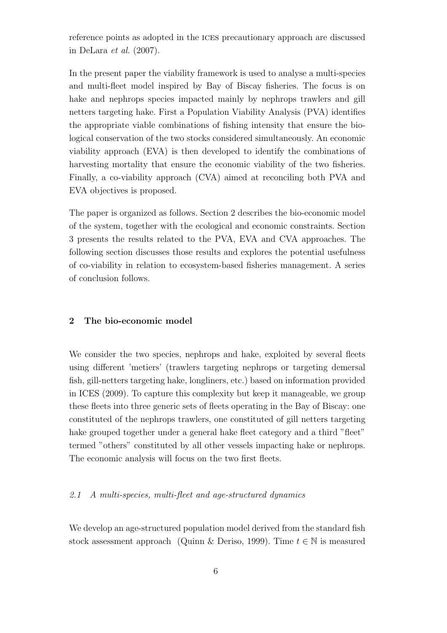reference points as adopted in the ices precautionary approach are discussed in [DeLara](#page-20-12) et al. [\(2007](#page-20-12)).

In the present paper the viability framework is used to analyse a multi-species and multi-fleet model inspired by Bay of Biscay fisheries. The focus is on hake and nephrops species impacted mainly by nephrops trawlers and gill netters targeting hake. First a Population Viability Analysis (PVA) identifies the appropriate viable combinations of fishing intensity that ensure the biological conservation of the two stocks considered simultaneously. An economic viability approach (EVA) is then developed to identify the combinations of harvesting mortality that ensure the economic viability of the two fisheries. Finally, a co-viability approach (CVA) aimed at reconciling both PVA and EVA objectives is proposed.

The paper is organized as follows. Section 2 describes the bio-economic model of the system, together with the ecological and economic constraints. Section 3 presents the results related to the PVA, EVA and CVA approaches. The following section discusses those results and explores the potential usefulness of co-viability in relation to ecosystem-based fisheries management. A series of conclusion follows.

## 2 The bio-economic model

We consider the two species, nephrops and hake, exploited by several fleets using different 'metiers' (trawlers targeting nephrops or targeting demersal fish, gill-netters targeting hake, longliners, etc.) based on information provided in [ICES \(2009\)](#page-20-13). To capture this complexity but keep it manageable, we group these fleets into three generic sets of fleets operating in the Bay of Biscay: one constituted of the nephrops trawlers, one constituted of gill netters targeting hake grouped together under a general hake fleet category and a third "fleet" termed "others" constituted by all other vessels impacting hake or nephrops. The economic analysis will focus on the two first fleets.

### 2.1 A multi-species, multi-fleet and age-structured dynamics

We develop an age-structured population model derived from the standard fish stock assessment approach [\(Quinn & Deriso, 1999](#page-21-10)). Time  $t \in \mathbb{N}$  is measured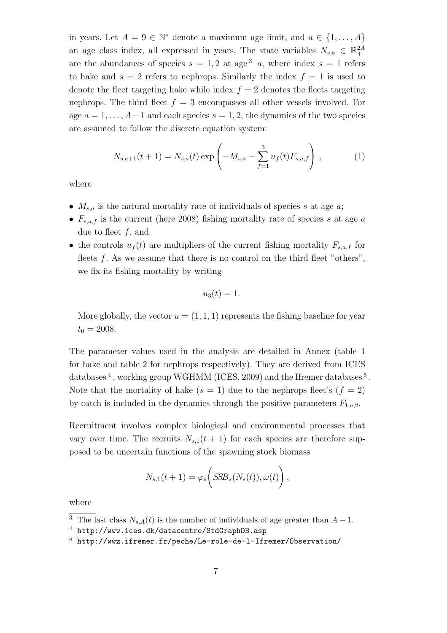in years. Let  $A = 9 \in \mathbb{N}^*$  denote a maximum age limit, and  $a \in \{1, ..., A\}$ an age class index, all expressed in years. The state variables  $N_{s,a} \in \mathbb{R}^{2A}_{+}$ are the abundances of species  $s = 1, 2$  at age<sup>[3](#page-6-0)</sup> a, where index  $s = 1$  refers to hake and  $s = 2$  refers to nephrops. Similarly the index  $f = 1$  is used to denote the fleet targeting hake while index  $f = 2$  denotes the fleets targeting nephrops. The third fleet  $f = 3$  encompasses all other vessels involved. For age  $a = 1, \ldots, A-1$  and each species  $s = 1, 2$ , the dynamics of the two species are assumed to follow the discrete equation system:

$$
N_{s,a+1}(t+1) = N_{s,a}(t) \exp\left(-M_{s,a} - \sum_{f=1}^{3} u_f(t) F_{s,a,f}\right),\tag{1}
$$

where

- $M_{s,a}$  is the natural mortality rate of individuals of species s at age a;
- $F_{s,a,f}$  is the current (here 2008) fishing mortality rate of species s at age a due to fleet  $f$ , and
- the controls  $u_f(t)$  are multipliers of the current fishing mortality  $F_{s,a,f}$  for fleets  $f$ . As we assume that there is no control on the third fleet "others", we fix its fishing mortality by writing

$$
u_3(t)=1.
$$

More globally, the vector  $u = (1, 1, 1)$  represents the fishing baseline for year  $t_0 = 2008.$ 

The parameter values used in the analysis are detailed in Annex (table 1 for hake and table 2 for nephrops respectively). They are derived from ICES databases<sup>[4](#page-6-1)</sup>, working group WGHMM [\(ICES](#page-20-13), [2009](#page-20-13)) and the Ifremer databases<sup>[5](#page-6-2)</sup>. Note that the mortality of hake  $(s = 1)$  due to the nephrops fleet's  $(f = 2)$ by-catch is included in the dynamics through the positive parameters  $F_{1,a,2}$ .

Recruitment involves complex biological and environmental processes that vary over time. The recruits  $N_{s,1}(t + 1)$  for each species are therefore supposed to be uncertain functions of the spawning stock biomass

$$
N_{s,1}(t+1) = \varphi_s\bigg(S\!S\!B_s(N_s(t)), \omega(t)\bigg)\,,
$$

where

<sup>&</sup>lt;sup>3</sup> The last class  $N_{s,A}(t)$  is the number of individuals of age greater than  $A-1$ .

<span id="page-6-0"></span><sup>4</sup> <http://www.ices.dk/datacentre/StdGraphDB.asp>

<span id="page-6-2"></span><span id="page-6-1"></span> $5$  <http://wwz.ifremer.fr/peche/Le-role-de-l-Ifremer/Observation/>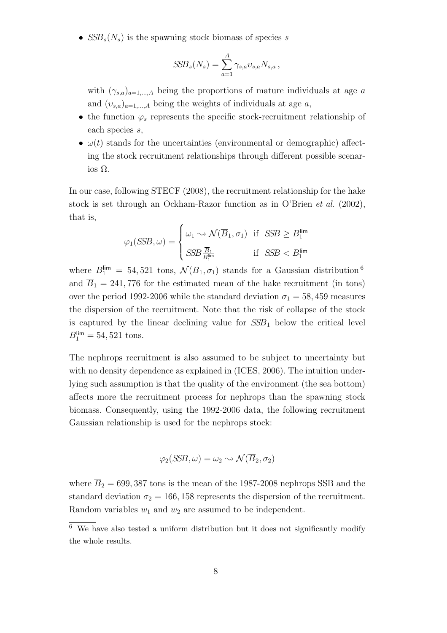•  $SSB_s(N_s)$  is the spawning stock biomass of species s

$$
SSB_s(N_s) = \sum_{a=1}^A \gamma_{s,a} \nu_{s,a} N_{s,a},
$$

with  $(\gamma_{s,a})_{a=1,\dots,A}$  being the proportions of mature individuals at age a and  $(v_{s,a})_{a=1,\dots,A}$  being the weights of individuals at age a,

- the function  $\varphi_s$  represents the specific stock-recruitment relationship of each species s,
- $\omega(t)$  stands for the uncertainties (environmental or demographic) affecting the stock recruitment relationships through different possible scenarios Ω.

In our case, following [STECF \(2008](#page-21-4)), the recruitment relationship for the hake stock is set through an Ockham-Razor function as in [O'Brien](#page-21-11) et al. [\(2002\)](#page-21-11), that is,

$$
\varphi_1(SSB, \omega) = \begin{cases} \omega_1 \sim \mathcal{N}(\overline{B}_1, \sigma_1) & \text{if } SSB \ge B_1^{\text{lim}} \\ SSB_{B_1^{\text{lim}}}^{\overline{B}_1} & \text{if } SSB < B_1^{\text{lim}} \end{cases}
$$

where  $B_1^{\text{lim}} = 54,521$  tons,  $\mathcal{N}(\overline{B}_1,\sigma_1)$  stands for a Gaussian distribution  $^6$  $^6$ and  $\overline{B}_1 = 241,776$  for the estimated mean of the hake recruitment (in tons) over the period 1992-2006 while the standard deviation  $\sigma_1 = 58,459$  measures the dispersion of the recruitment. Note that the risk of collapse of the stock is captured by the linear declining value for  $SSB<sub>1</sub>$  below the critical level  $B_1^{\text{lim}} = 54,521 \text{ tons}.$ 

The nephrops recruitment is also assumed to be subject to uncertainty but with no density dependence as explained in [\(ICES](#page-20-14), [2006\)](#page-20-14). The intuition underlying such assumption is that the quality of the environment (the sea bottom) affects more the recruitment process for nephrops than the spawning stock biomass. Consequently, using the 1992-2006 data, the following recruitment Gaussian relationship is used for the nephrops stock:

$$
\varphi_2(\mathit{SSB}, \omega) = \omega_2 \sim \mathcal{N}(\overline{B}_2, \sigma_2)
$$

where  $\overline{B}_2 = 699,387$  tons is the mean of the 1987-2008 nephrops SSB and the standard deviation  $\sigma_2 = 166, 158$  represents the dispersion of the recruitment. Random variables  $w_1$  and  $w_2$  are assumed to be independent.

<span id="page-7-0"></span><sup>6</sup> We have also tested a uniform distribution but it does not significantly modify the whole results.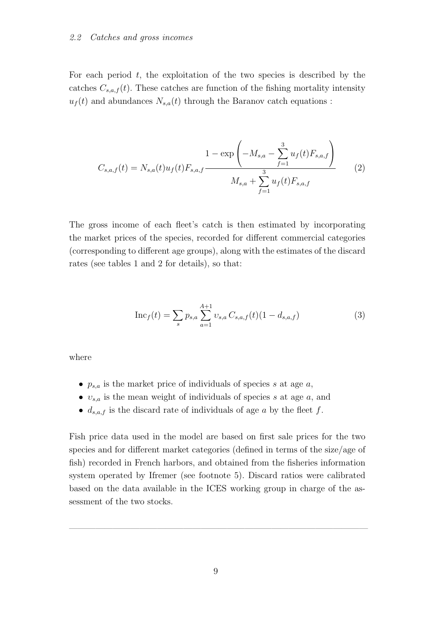For each period  $t$ , the exploitation of the two species is described by the catches  $C_{s,a,f}(t)$ . These catches are function of the fishing mortality intensity  $u_f(t)$  and abundances  $N_{s,a}(t)$  through the Baranov catch equations :

$$
C_{s,a,f}(t) = N_{s,a}(t)u_f(t)F_{s,a,f} \frac{1 - \exp\left(-M_{s,a} - \sum_{f=1}^3 u_f(t)F_{s,a,f}\right)}{M_{s,a} + \sum_{f=1}^3 u_f(t)F_{s,a,f}}
$$
(2)

The gross income of each fleet's catch is then estimated by incorporating the market prices of the species, recorded for different commercial categories (corresponding to different age groups), along with the estimates of the discard rates (see tables 1 and 2 for details), so that:

$$
\mathrm{Inc}_f(t) = \sum_s p_{s,a} \sum_{a=1}^{A+1} v_{s,a} C_{s,a,f}(t) (1 - d_{s,a,f})
$$
 (3)

where

- $p_{s,a}$  is the market price of individuals of species s at age a,
- $v_{s,a}$  is the mean weight of individuals of species s at age a, and
- $d_{s,a,f}$  is the discard rate of individuals of age a by the fleet f.

Fish price data used in the model are based on first sale prices for the two species and for different market categories (defined in terms of the size/age of fish) recorded in French harbors, and obtained from the fisheries information system operated by Ifremer (see footnote 5). Discard ratios were calibrated based on the data available in the ICES working group in charge of the assessment of the two stocks.

 $\frac{1}{2}$  , and the contribution of  $\frac{1}{2}$  , and  $\frac{1}{2}$  , and  $\frac{1}{2}$  , and  $\frac{1}{2}$  , and  $\frac{1}{2}$  , and  $\frac{1}{2}$  , and  $\frac{1}{2}$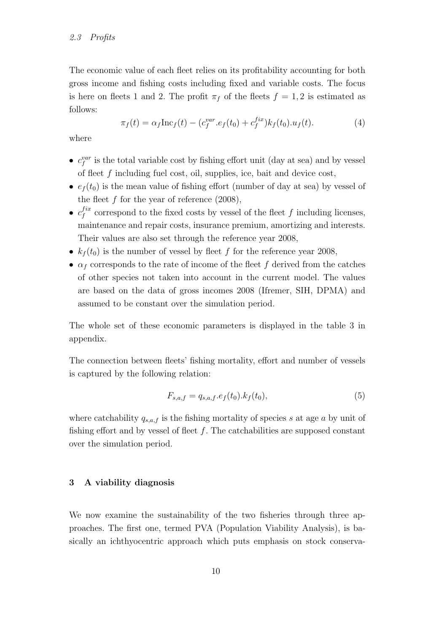The economic value of each fleet relies on its profitability accounting for both gross income and fishing costs including fixed and variable costs. The focus is here on fleets 1 and 2. The profit  $\pi_f$  of the fleets  $f = 1, 2$  is estimated as follows:

$$
\pi_f(t) = \alpha_f \text{Inc}_f(t) - (c_f^{var}.e_f(t_0) + c_f^{fix}) k_f(t_0).u_f(t).
$$
 (4)

where

- $c_f^{var}$  is the total variable cost by fishing effort unit (day at sea) and by vessel of fleet f including fuel cost, oil, supplies, ice, bait and device cost,
- $e_f(t_0)$  is the mean value of fishing effort (number of day at sea) by vessel of the fleet  $f$  for the year of reference  $(2008)$ ,
- $\bullet$   $c_f^{fix}$  $f_f^{tx}$  correspond to the fixed costs by vessel of the fleet f including licenses, maintenance and repair costs, insurance premium, amortizing and interests. Their values are also set through the reference year 2008,
- $k_f(t_0)$  is the number of vessel by fleet f for the reference year 2008,
- $\alpha_f$  corresponds to the rate of income of the fleet f derived from the catches of other species not taken into account in the current model. The values are based on the data of gross incomes 2008 (Ifremer, SIH, DPMA) and assumed to be constant over the simulation period.

The whole set of these economic parameters is displayed in the table 3 in appendix.

The connection between fleets' fishing mortality, effort and number of vessels is captured by the following relation:

$$
F_{s,a,f} = q_{s,a,f}.e_f(t_0).k_f(t_0),
$$
\n(5)

where catchability  $q_{s,a,f}$  is the fishing mortality of species s at age a by unit of fishing effort and by vessel of fleet  $f$ . The catchabilities are supposed constant over the simulation period.

# 3 A viability diagnosis

We now examine the sustainability of the two fisheries through three approaches. The first one, termed PVA (Population Viability Analysis), is basically an ichthyocentric approach which puts emphasis on stock conserva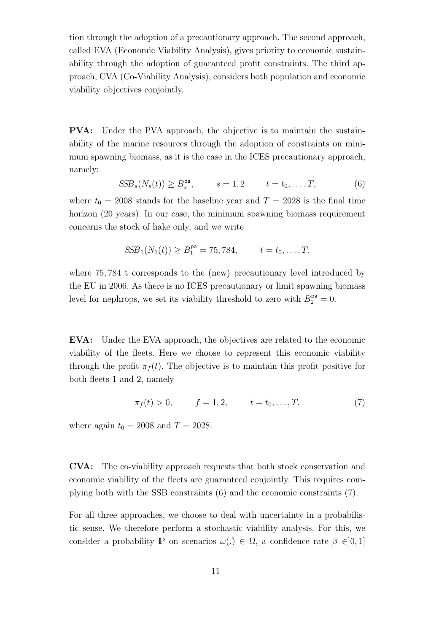tion through the adoption of a precautionary approach. The second approach, called EVA (Economic Viability Analysis), gives priority to economic sustainability through the adoption of guaranteed profit constraints. The third approach, CVA (Co-Viability Analysis), considers both population and economic viability objectives conjointly.

PVA: Under the PVA approach, the objective is to maintain the sustainability of the marine resources through the adoption of constraints on minimum spawning biomass, as it is the case in the ICES precautionary approach, namely:

$$
SSBs(Ns(t)) \ge Bspa, \qquad s = 1,2 \qquad t = t_0, \ldots, T,
$$
 (6)

where  $t_0 = 2008$  stands for the baseline year and  $T = 2028$  is the final time horizon (20 years). In our case, the minimum spawning biomass requirement concerns the stock of hake only, and we write

$$
SSB_1(N_1(t)) \ge B_1^{\mathsf{pa}} = 75,784, \qquad t = t_0, \ldots, T.
$$

where 75, 784 t corresponds to the (new) precautionary level introduced by the EU in 2006. As there is no ICES precautionary or limit spawning biomass level for nephrops, we set its viability threshold to zero with  $B_2^{\mathsf{pa}} = 0$ .

EVA: Under the EVA approach, the objectives are related to the economic viability of the fleets. Here we choose to represent this economic viability through the profit  $\pi_f(t)$ . The objective is to maintain this profit positive for both fleets 1 and 2, namely

$$
\pi_f(t) > 0,
$$
  $f = 1, 2,$   $t = t_0, ..., T.$  (7)

where again  $t_0 = 2008$  and  $T = 2028$ .

CVA: The co-viability approach requests that both stock conservation and economic viability of the fleets are guaranteed conjointly. This requires complying both with the SSB constraints (6) and the economic constraints (7).

For all three approaches, we choose to deal with uncertainty in a probabilistic sense. We therefore perform a stochastic viability analysis. For this, we consider a probability **P** on scenarios  $\omega(.) \in \Omega$ , a confidence rate  $\beta \in ]0,1]$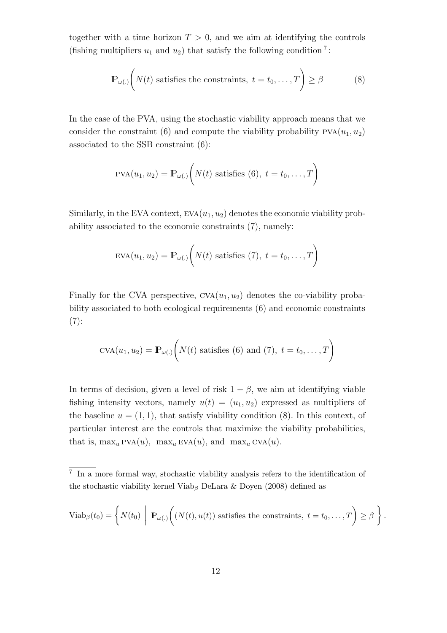together with a time horizon  $T > 0$ , and we aim at identifying the controls (fishing multipliers  $u_1$  and  $u_2$ ) that satisfy the following condition<sup>[7](#page-11-0)</sup>:

$$
\mathbb{P}_{\omega(.)}\bigg(N(t) \text{ satisfies the constraints, } t = t_0, \dots, T\bigg) \ge \beta \tag{8}
$$

In the case of the PVA, using the stochastic viability approach means that we consider the constraint (6) and compute the viability probability  $PVA(u_1, u_2)$ associated to the SSB constraint (6):

$$
PVA(u_1, u_2) = \mathbb{P}_{\omega(.)}\bigg(N(t) \text{ satisfies } (6), t = t_0, \ldots, T\bigg)
$$

Similarly, in the EVA context,  $EVA(u_1, u_2)$  denotes the economic viability probability associated to the economic constraints (7), namely:

$$
EVA(u_1, u_2) = \mathbb{P}_{\omega(.)}\bigg(N(t) \text{ satisfies (7)}, t = t_0, \dots, T\bigg)
$$

Finally for the CVA perspective,  $CVA(u_1, u_2)$  denotes the co-viability probability associated to both ecological requirements (6) and economic constraints  $(7):$ 

$$
CVA(u_1, u_2) = \mathbb{P}_{\omega(.)}\bigg(N(t) \text{ satisfies (6) and (7), } t = t_0, \dots, T\bigg)
$$

In terms of decision, given a level of risk  $1 - \beta$ , we aim at identifying viable fishing intensity vectors, namely  $u(t) = (u_1, u_2)$  expressed as multipliers of the baseline  $u = (1, 1)$ , that satisfy viability condition  $(8)$ . In this context, of particular interest are the controls that maximize the viability probabilities, that is,  $\max_u \text{PVA}(u)$ ,  $\max_u \text{EVA}(u)$ , and  $\max_u \text{CVA}(u)$ .

$$
Viab_{\beta}(t_0) = \left\{ N(t_0) \mid \mathbf{P}_{\omega(.)}\bigg( (N(t), u(t)) \text{ satisfies the constraints, } t = t_0, \ldots, T \bigg) \geq \beta \right\}.
$$

<span id="page-11-0"></span><sup>7</sup> In a more formal way, stochastic viability analysis refers to the identification of the stochastic viability kernel Viab<sub>β</sub> [DeLara & Doyen \(2008\)](#page-20-6) defined as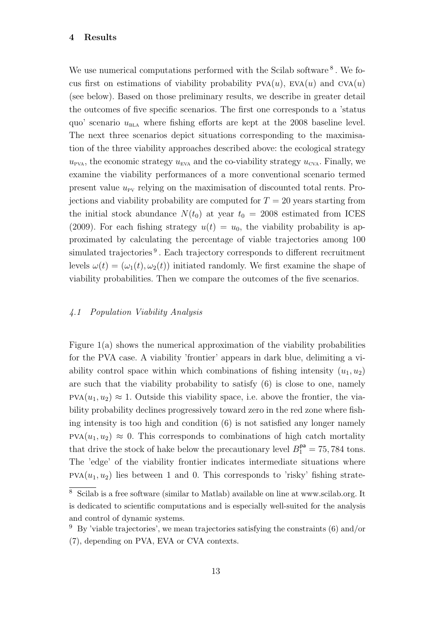#### 4 Results

We use numerical computations performed with the Scilab software<sup>[8](#page-12-0)</sup>. We focus first on estimations of viability probability  $PVA(u)$ ,  $EVA(u)$  and  $CVA(u)$ (see below). Based on those preliminary results, we describe in greater detail the outcomes of five specific scenarios. The first one corresponds to a 'status quo' scenario  $u_{\text{BLA}}$  where fishing efforts are kept at the 2008 baseline level. The next three scenarios depict situations corresponding to the maximisation of the three viability approaches described above: the ecological strategy  $u_{\text{PVA}}$ , the economic strategy  $u_{\text{EVA}}$  and the co-viability strategy  $u_{\text{CVA}}$ . Finally, we examine the viability performances of a more conventional scenario termed present value  $u_{\text{pv}}$  relying on the maximisation of discounted total rents. Projections and viability probability are computed for  $T = 20$  years starting from the initial stock abundance  $N(t_0)$  at year  $t_0 = 2008$  estimated from [ICES](#page-20-13) [\(2009\)](#page-20-13). For each fishing strategy  $u(t) = u_0$ , the viability probability is approximated by calculating the percentage of viable trajectories among 100 simulated trajectories<sup>[9](#page-12-1)</sup>. Each trajectory corresponds to different recruitment levels  $\omega(t) = (\omega_1(t), \omega_2(t))$  initiated randomly. We first examine the shape of viability probabilities. Then we compare the outcomes of the five scenarios.

## 4.1 Population Viability Analysis

Figure  $1(a)$  shows the numerical approximation of the viability probabilities for the PVA case. A viability 'frontier' appears in dark blue, delimiting a viability control space within which combinations of fishing intensity  $(u_1, u_2)$ are such that the viability probability to satisfy (6) is close to one, namely  $PVA(u_1, u_2) \approx 1$ . Outside this viability space, i.e. above the frontier, the viability probability declines progressively toward zero in the red zone where fishing intensity is too high and condition (6) is not satisfied any longer namely  $PVA(u_1, u_2) \approx 0$ . This corresponds to combinations of high catch mortality that drive the stock of hake below the precautionary level  $B_1^{\mathsf{pa}} = 75,784$  tons. The 'edge' of the viability frontier indicates intermediate situations where  $PVA(u_1, u_2)$  lies between 1 and 0. This corresponds to 'risky' fishing strate-

<span id="page-12-0"></span> $\overline{8}$  Scilab is a free software (similar to Matlab) available on line at www.scilab.org. It is dedicated to scientific computations and is especially well-suited for the analysis and control of dynamic systems.

<span id="page-12-1"></span> $9\,$  By 'viable trajectories', we mean trajectories satisfying the constraints (6) and/or (7), depending on PVA, EVA or CVA contexts.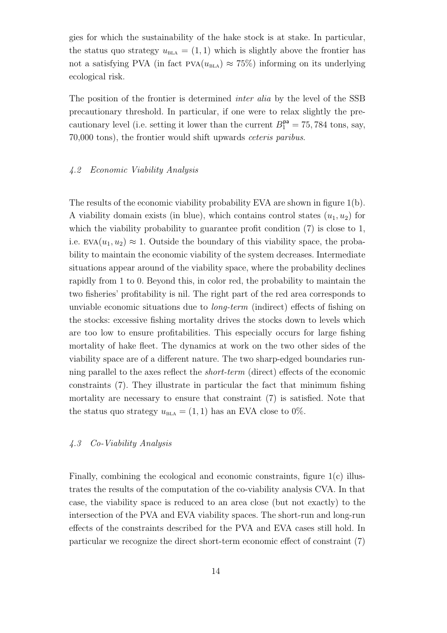gies for which the sustainability of the hake stock is at stake. In particular, the status quo strategy  $u_{\text{BLA}} = (1, 1)$  which is slightly above the frontier has not a satisfying PVA (in fact  $PVA(u_{BLA}) \approx 75\%)$  informing on its underlying ecological risk.

The position of the frontier is determined inter alia by the level of the SSB precautionary threshold. In particular, if one were to relax slightly the precautionary level (i.e. setting it lower than the current  $B_1^{\mathsf{pa}} = 75,784$  tons, say, 70,000 tons), the frontier would shift upwards ceteris paribus.

## 4.2 Economic Viability Analysis

The results of the economic viability probability EVA are shown in figure 1(b). A viability domain exists (in blue), which contains control states  $(u_1, u_2)$  for which the viability probability to guarantee profit condition  $(7)$  is close to 1, i.e.  $EVA(u_1, u_2) \approx 1$ . Outside the boundary of this viability space, the probability to maintain the economic viability of the system decreases. Intermediate situations appear around of the viability space, where the probability declines rapidly from 1 to 0. Beyond this, in color red, the probability to maintain the two fisheries' profitability is nil. The right part of the red area corresponds to unviable economic situations due to long-term (indirect) effects of fishing on the stocks: excessive fishing mortality drives the stocks down to levels which are too low to ensure profitabilities. This especially occurs for large fishing mortality of hake fleet. The dynamics at work on the two other sides of the viability space are of a different nature. The two sharp-edged boundaries running parallel to the axes reflect the short-term (direct) effects of the economic constraints (7). They illustrate in particular the fact that minimum fishing mortality are necessary to ensure that constraint (7) is satisfied. Note that the status quo strategy  $u_{\text{BLA}} = (1, 1)$  has an EVA close to 0%.

# 4.3 Co-Viability Analysis

Finally, combining the ecological and economic constraints, figure 1(c) illustrates the results of the computation of the co-viability analysis CVA. In that case, the viability space is reduced to an area close (but not exactly) to the intersection of the PVA and EVA viability spaces. The short-run and long-run effects of the constraints described for the PVA and EVA cases still hold. In particular we recognize the direct short-term economic effect of constraint (7)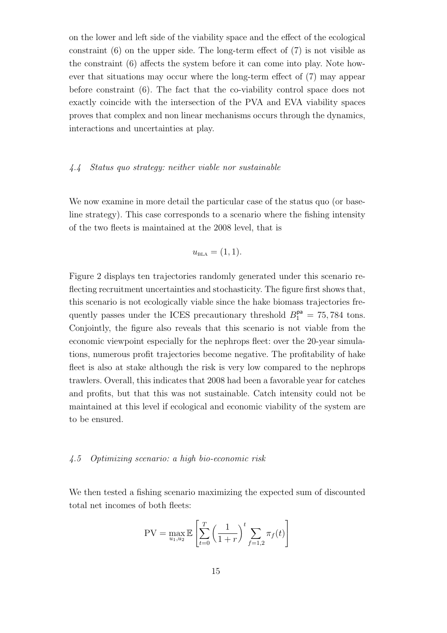on the lower and left side of the viability space and the effect of the ecological constraint (6) on the upper side. The long-term effect of (7) is not visible as the constraint (6) affects the system before it can come into play. Note however that situations may occur where the long-term effect of (7) may appear before constraint (6). The fact that the co-viability control space does not exactly coincide with the intersection of the PVA and EVA viability spaces proves that complex and non linear mechanisms occurs through the dynamics, interactions and uncertainties at play.

### 4.4 Status quo strategy: neither viable nor sustainable

We now examine in more detail the particular case of the status quo (or baseline strategy). This case corresponds to a scenario where the fishing intensity of the two fleets is maintained at the 2008 level, that is

$$
u_{\rm BLA} = (1,1).
$$

Figure 2 displays ten trajectories randomly generated under this scenario reflecting recruitment uncertainties and stochasticity. The figure first shows that, this scenario is not ecologically viable since the hake biomass trajectories frequently passes under the ICES precautionary threshold  $B_1^{\mathsf{pa}} = 75,784$  tons. Conjointly, the figure also reveals that this scenario is not viable from the economic viewpoint especially for the nephrops fleet: over the 20-year simulations, numerous profit trajectories become negative. The profitability of hake fleet is also at stake although the risk is very low compared to the nephrops trawlers. Overall, this indicates that 2008 had been a favorable year for catches and profits, but that this was not sustainable. Catch intensity could not be maintained at this level if ecological and economic viability of the system are to be ensured.

## 4.5 Optimizing scenario: a high bio-economic risk

We then tested a fishing scenario maximizing the expected sum of discounted total net incomes of both fleets:

$$
PV = \max_{u_1, u_2} \mathbb{E}\left[\sum_{t=0}^{T} \left(\frac{1}{1+r}\right)^t \sum_{f=1, 2} \pi_f(t)\right]
$$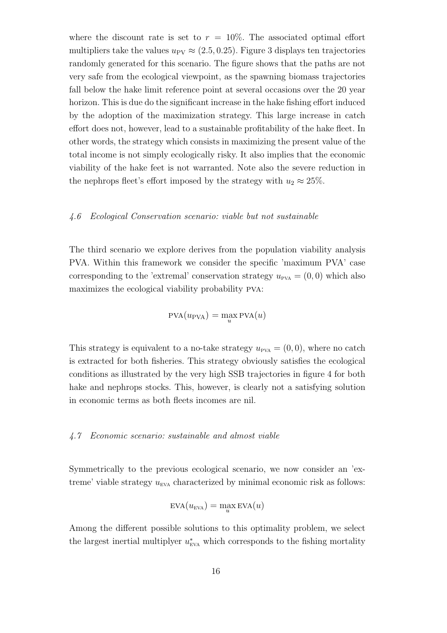where the discount rate is set to  $r = 10\%$ . The associated optimal effort multipliers take the values  $u_{\text{PV}} \approx (2.5, 0.25)$ . Figure 3 displays ten trajectories randomly generated for this scenario. The figure shows that the paths are not very safe from the ecological viewpoint, as the spawning biomass trajectories fall below the hake limit reference point at several occasions over the 20 year horizon. This is due do the significant increase in the hake fishing effort induced by the adoption of the maximization strategy. This large increase in catch effort does not, however, lead to a sustainable profitability of the hake fleet. In other words, the strategy which consists in maximizing the present value of the total income is not simply ecologically risky. It also implies that the economic viability of the hake feet is not warranted. Note also the severe reduction in the nephrops fleet's effort imposed by the strategy with  $u_2 \approx 25\%$ .

### 4.6 Ecological Conservation scenario: viable but not sustainable

The third scenario we explore derives from the population viability analysis PVA. Within this framework we consider the specific 'maximum PVA' case corresponding to the 'extremal' conservation strategy  $u_{\text{pva}} = (0,0)$  which also maximizes the ecological viability probability pva:

$$
PVA(u_{PVA}) = \max_{u} PVA(u)
$$

This strategy is equivalent to a no-take strategy  $u_{\text{PVA}} = (0, 0)$ , where no catch is extracted for both fisheries. This strategy obviously satisfies the ecological conditions as illustrated by the very high SSB trajectories in figure 4 for both hake and nephrops stocks. This, however, is clearly not a satisfying solution in economic terms as both fleets incomes are nil.

### 4.7 Economic scenario: sustainable and almost viable

Symmetrically to the previous ecological scenario, we now consider an 'extreme' viable strategy  $u_{\text{EVA}}$  characterized by minimal economic risk as follows:

$$
EVA(u_{EVA}) = \max_{u} EVA(u)
$$

Among the different possible solutions to this optimality problem, we select the largest inertial multiplyer  $u_{\text{EVA}}^*$  which corresponds to the fishing mortality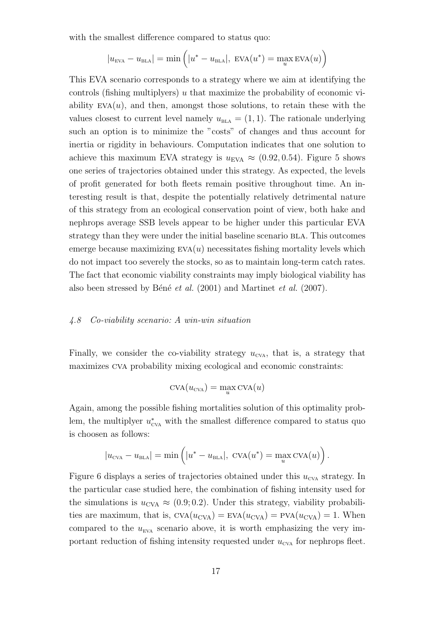with the smallest difference compared to status quo:

$$
|u_{\text{EVA}} - u_{\text{BLA}}| = \min\left(|u^* - u_{\text{BLA}}|, \text{ EVA}(u^*) = \max_u \text{EVA}(u)\right)
$$

This EVA scenario corresponds to a strategy where we aim at identifying the controls (fishing multiplyers) u that maximize the probability of economic viability  $EVA(u)$ , and then, amongst those solutions, to retain these with the values closest to current level namely  $u_{\text{BLA}} = (1, 1)$ . The rationale underlying such an option is to minimize the "costs" of changes and thus account for inertia or rigidity in behaviours. Computation indicates that one solution to achieve this maximum EVA strategy is  $u_{EVA} \approx (0.92, 0.54)$ . Figure 5 shows one series of trajectories obtained under this strategy. As expected, the levels of profit generated for both fleets remain positive throughout time. An interesting result is that, despite the potentially relatively detrimental nature of this strategy from an ecological conservation point of view, both hake and nephrops average SSB levels appear to be higher under this particular EVA strategy than they were under the initial baseline scenario bla. This outcomes emerge because maximizing  $EVA(u)$  necessitates fishing mortality levels which do not impact too severely the stocks, so as to maintain long-term catch rates. The fact that economic viability constraints may imply biological viability has also been stressed by Béné et al.  $(2001)$  $(2001)$  and [Martinet](#page-21-8) et al.  $(2007)$  $(2007)$ .

## 4.8 Co-viability scenario: A win-win situation

Finally, we consider the co-viability strategy  $u_{\text{cva}}$ , that is, a strategy that maximizes cva probability mixing ecological and economic constraints:

$$
CVA(u_{CVA}) = \max_{u} CVA(u)
$$

Again, among the possible fishing mortalities solution of this optimality problem, the multiplyer  $u_{\text{cva}}^*$  with the smallest difference compared to status quo is choosen as follows:

$$
|u_{\text{CVA}} - u_{\text{BLA}}| = \min\left(|u^* - u_{\text{BLA}}|, \text{ CVA}(u^*) = \max_u \text{CVA}(u)\right).
$$

Figure 6 displays a series of trajectories obtained under this  $u_{\text{cva}}$  strategy. In the particular case studied here, the combination of fishing intensity used for the simulations is  $u_{\text{CVA}} \approx (0.9, 0.2)$ . Under this strategy, viability probabilities are maximum, that is,  $CVA(u_{CVA}) = EVA(u_{CVA}) = PVA(u_{CVA}) = 1$ . When compared to the  $u_{\text{EVA}}$  scenario above, it is worth emphasizing the very important reduction of fishing intensity requested under  $u_{\text{cva}}$  for nephrops fleet.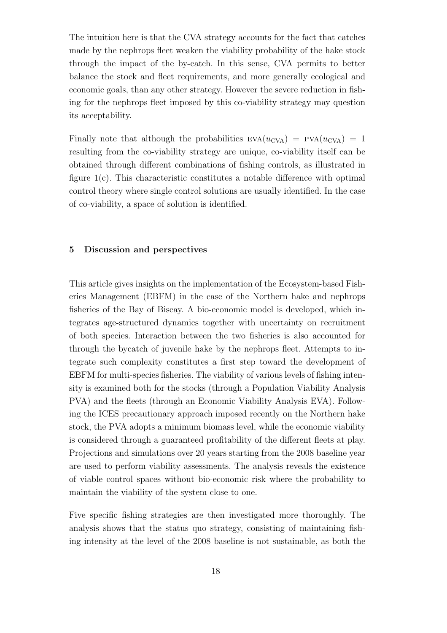The intuition here is that the CVA strategy accounts for the fact that catches made by the nephrops fleet weaken the viability probability of the hake stock through the impact of the by-catch. In this sense, CVA permits to better balance the stock and fleet requirements, and more generally ecological and economic goals, than any other strategy. However the severe reduction in fishing for the nephrops fleet imposed by this co-viability strategy may question its acceptability.

Finally note that although the probabilities  $EVA(u_{CVA}) = PVA(u_{CVA}) = 1$ resulting from the co-viability strategy are unique, co-viability itself can be obtained through different combinations of fishing controls, as illustrated in figure 1(c). This characteristic constitutes a notable difference with optimal control theory where single control solutions are usually identified. In the case of co-viability, a space of solution is identified.

### 5 Discussion and perspectives

This article gives insights on the implementation of the Ecosystem-based Fisheries Management (EBFM) in the case of the Northern hake and nephrops fisheries of the Bay of Biscay. A bio-economic model is developed, which integrates age-structured dynamics together with uncertainty on recruitment of both species. Interaction between the two fisheries is also accounted for through the bycatch of juvenile hake by the nephrops fleet. Attempts to integrate such complexity constitutes a first step toward the development of EBFM for multi-species fisheries. The viability of various levels of fishing intensity is examined both for the stocks (through a Population Viability Analysis PVA) and the fleets (through an Economic Viability Analysis EVA). Following the ICES precautionary approach imposed recently on the Northern hake stock, the PVA adopts a minimum biomass level, while the economic viability is considered through a guaranteed profitability of the different fleets at play. Projections and simulations over 20 years starting from the 2008 baseline year are used to perform viability assessments. The analysis reveals the existence of viable control spaces without bio-economic risk where the probability to maintain the viability of the system close to one.

Five specific fishing strategies are then investigated more thoroughly. The analysis shows that the status quo strategy, consisting of maintaining fishing intensity at the level of the 2008 baseline is not sustainable, as both the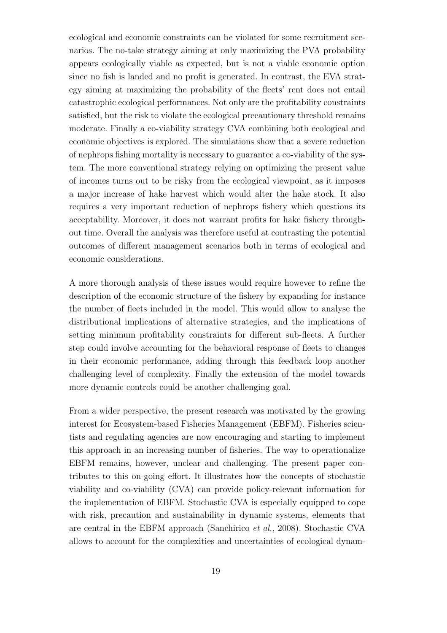ecological and economic constraints can be violated for some recruitment scenarios. The no-take strategy aiming at only maximizing the PVA probability appears ecologically viable as expected, but is not a viable economic option since no fish is landed and no profit is generated. In contrast, the EVA strategy aiming at maximizing the probability of the fleets' rent does not entail catastrophic ecological performances. Not only are the profitability constraints satisfied, but the risk to violate the ecological precautionary threshold remains moderate. Finally a co-viability strategy CVA combining both ecological and economic objectives is explored. The simulations show that a severe reduction of nephrops fishing mortality is necessary to guarantee a co-viability of the system. The more conventional strategy relying on optimizing the present value of incomes turns out to be risky from the ecological viewpoint, as it imposes a major increase of hake harvest which would alter the hake stock. It also requires a very important reduction of nephrops fishery which questions its acceptability. Moreover, it does not warrant profits for hake fishery throughout time. Overall the analysis was therefore useful at contrasting the potential outcomes of different management scenarios both in terms of ecological and economic considerations.

A more thorough analysis of these issues would require however to refine the description of the economic structure of the fishery by expanding for instance the number of fleets included in the model. This would allow to analyse the distributional implications of alternative strategies, and the implications of setting minimum profitability constraints for different sub-fleets. A further step could involve accounting for the behavioral response of fleets to changes in their economic performance, adding through this feedback loop another challenging level of complexity. Finally the extension of the model towards more dynamic controls could be another challenging goal.

From a wider perspective, the present research was motivated by the growing interest for Ecosystem-based Fisheries Management (EBFM). Fisheries scientists and regulating agencies are now encouraging and starting to implement this approach in an increasing number of fisheries. The way to operationalize EBFM remains, however, unclear and challenging. The present paper contributes to this on-going effort. It illustrates how the concepts of stochastic viability and co-viability (CVA) can provide policy-relevant information for the implementation of EBFM. Stochastic CVA is especially equipped to cope with risk, precaution and sustainability in dynamic systems, elements that are central in the EBFM approach [\(Sanchirico](#page-21-3) et al., [2008](#page-21-3)). Stochastic CVA allows to account for the complexities and uncertainties of ecological dynam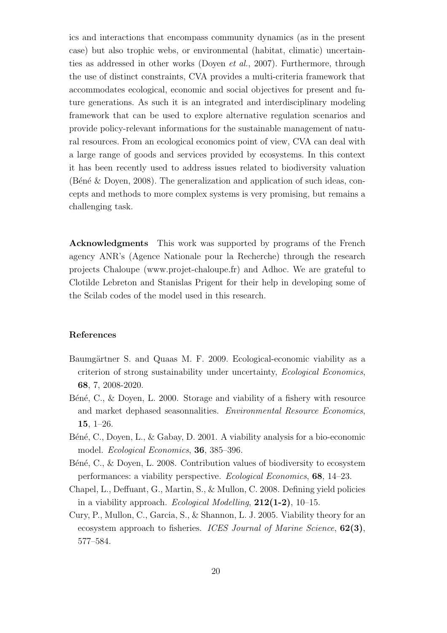ics and interactions that encompass community dynamics (as in the present case) but also trophic webs, or environmental (habitat, climatic) uncertainties as addressed in other works [\(Doyen](#page-20-11) et al., [2007\)](#page-20-11). Furthermore, through the use of distinct constraints, CVA provides a multi-criteria framework that accommodates ecological, economic and social objectives for present and future generations. As such it is an integrated and interdisciplinary modeling framework that can be used to explore alternative regulation scenarios and provide policy-relevant informations for the sustainable management of natural resources. From an ecological economics point of view, CVA can deal with a large range of goods and services provided by ecosystems. In this context it has been recently used to address issues related to biodiversity valuation (Bené & Doyen, 2008). The generalization and application of such ideas, concepts and methods to more complex systems is very promising, but remains a challenging task.

Acknowledgments This work was supported by programs of the French agency ANR's (Agence Nationale pour la Recherche) through the research projects Chaloupe (www.projet-chaloupe.fr) and Adhoc. We are grateful to Clotilde Lebreton and Stanislas Prigent for their help in developing some of the Scilab codes of the model used in this research.

### References

- <span id="page-19-1"></span>Baumgärtner S. and Quaas M. F. 2009. Ecological-economic viability as a criterion of strong sustainability under uncertainty, Ecological Economics, 68, 7, 2008-2020.
- <span id="page-19-2"></span>B $\acute{e}n\acute{e}$ , C., & Doyen, L. 2000. Storage and viability of a fishery with resource and market dephased seasonnalities. Environmental Resource Economics, 15, 1–26.
- <span id="page-19-0"></span>Béné, C., Doyen, L., & Gabay, D. 2001. A viability analysis for a bio-economic model. Ecological Economics, 36, 385–396.
- <span id="page-19-5"></span>Béné, C., & Doyen, L. 2008. Contribution values of biodiversity to ecosystem performances: a viability perspective. Ecological Economics, 68, 14–23.
- <span id="page-19-3"></span>Chapel, L., Deffuant, G., Martin, S., & Mullon, C. 2008. Defining yield policies in a viability approach. Ecological Modelling,  $212(1-2)$ , 10-15.
- <span id="page-19-4"></span>Cury, P., Mullon, C., Garcia, S., & Shannon, L. J. 2005. Viability theory for an ecosystem approach to fisheries. *ICES Journal of Marine Science*, **62(3)**, 577–584.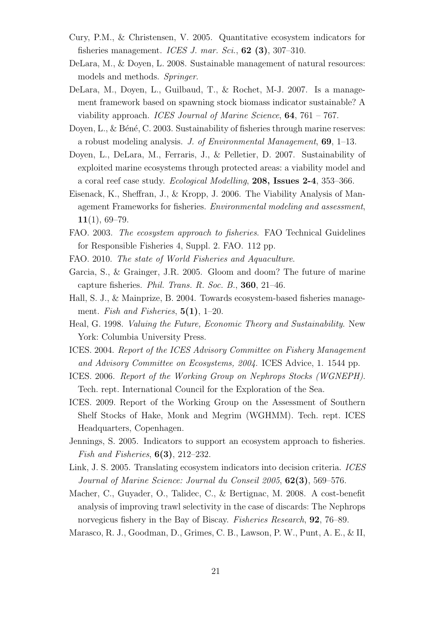- <span id="page-20-4"></span>Cury, P.M., & Christensen, V. 2005. Quantitative ecosystem indicators for fisheries management. ICES J. mar. Sci.,  $62$  (3), 307-310.
- <span id="page-20-6"></span>DeLara, M., & Doyen, L. 2008. Sustainable management of natural resources: models and methods. Springer.
- <span id="page-20-12"></span>DeLara, M., Doyen, L., Guilbaud, T., & Rochet, M-J. 2007. Is a management framework based on spawning stock biomass indicator sustainable? A viability approach. ICES Journal of Marine Science, 64, 761 – 767.
- <span id="page-20-9"></span>Doyen, L.,  $\&$  Béné, C. 2003. Sustainability of fisheries through marine reserves: a robust modeling analysis. J. of Environmental Management, 69, 1–13.
- <span id="page-20-11"></span>Doyen, L., DeLara, M., Ferraris, J., & Pelletier, D. 2007. Sustainability of exploited marine ecosystems through protected areas: a viability model and a coral reef case study. Ecological Modelling, 208, Issues 2-4, 353–366.
- <span id="page-20-10"></span>Eisenack, K., Sheffran, J., & Kropp, J. 2006. The Viability Analysis of Management Frameworks for fisheries. Environmental modeling and assessment,  $11(1), 69-79.$
- <span id="page-20-0"></span>FAO. 2003. The ecosystem approach to fisheries. FAO Technical Guidelines for Responsible Fisheries 4, Suppl. 2. FAO. 112 pp.
- FAO. 2010. The state of World Fisheries and Aquaculture.
- Garcia, S., & Grainger, J.R. 2005. Gloom and doom? The future of marine capture fisheries. Phil. Trans. R. Soc. B., 360, 21–46.
- <span id="page-20-3"></span>Hall, S. J., & Mainprize, B. 2004. Towards ecosystem-based fisheries management. Fish and Fisheries,  $5(1)$ , 1–20.
- <span id="page-20-8"></span>Heal, G. 1998. Valuing the Future, Economic Theory and Sustainability. New York: Columbia University Press.
- ICES. 2004. Report of the ICES Advisory Committee on Fishery Management and Advisory Committee on Ecosystems, 2004. ICES Advice, 1. 1544 pp.
- <span id="page-20-14"></span>ICES. 2006. Report of the Working Group on Nephrops Stocks (WGNEPH). Tech. rept. International Council for the Exploration of the Sea.
- <span id="page-20-13"></span>ICES. 2009. Report of the Working Group on the Assessment of Southern Shelf Stocks of Hake, Monk and Megrim (WGHMM). Tech. rept. ICES Headquarters, Copenhagen.
- <span id="page-20-1"></span>Jennings, S. 2005. Indicators to support an ecosystem approach to fisheries. Fish and Fisheries,  $6(3)$ , 212–232.
- <span id="page-20-5"></span>Link, J. S. 2005. Translating ecosystem indicators into decision criteria. ICES Journal of Marine Science: Journal du Conseil 2005, 62(3), 569–576.
- <span id="page-20-7"></span>Macher, C., Guyader, O., Talidec, C., & Bertignac, M. 2008. A cost-benefit analysis of improving trawl selectivity in the case of discards: The Nephrops norvegicus fishery in the Bay of Biscay. Fisheries Research, 92, 76–89.
- <span id="page-20-2"></span>Marasco, R. J., Goodman, D., Grimes, C. B., Lawson, P. W., Punt, A. E., & II,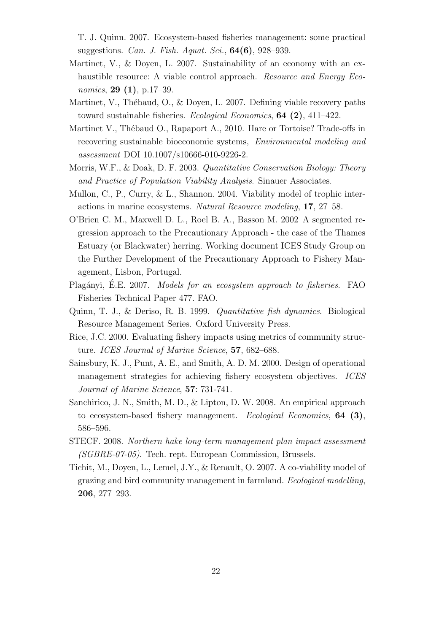T. J. Quinn. 2007. Ecosystem-based fisheries management: some practical suggestions. Can. J. Fish. Aquat. Sci., 64(6), 928–939.

- <span id="page-21-5"></span>Martinet, V., & Doyen, L. 2007. Sustainability of an economy with an exhaustible resource: A viable control approach. *Resource and Energy Eco*nomics, **29** (1), p.17–39.
- <span id="page-21-8"></span>Martinet, V., Thébaud, O., & Doyen, L. 2007. Defining viable recovery paths toward sustainable fisheries. Ecological Economics, 64 (2), 411–422.
- Martinet V., Thébaud O., Rapaport A., 2010. Hare or Tortoise? Trade-offs in recovering sustainable bioeconomic systems, Environmental modeling and assessment DOI 10.1007/s10666-010-9226-2.
- <span id="page-21-7"></span>Morris, W.F., & Doak, D. F. 2003. Quantitative Conservation Biology: Theory and Practice of Population Viability Analysis. Sinauer Associates.
- <span id="page-21-9"></span>Mullon, C., P., Curry, & L., Shannon. 2004. Viability model of trophic interactions in marine ecosystems. Natural Resource modeling, 17, 27–58.
- <span id="page-21-11"></span>O'Brien C. M., Maxwell D. L., Roel B. A., Basson M. 2002 A segmented regression approach to the Precautionary Approach - the case of the Thames Estuary (or Blackwater) herring. Working document ICES Study Group on the Further Development of the Precautionary Approach to Fishery Management, Lisbon, Portugal.
- <span id="page-21-1"></span>Plagányi, É.E. 2007. Models for an ecosystem approach to fisheries. FAO Fisheries Technical Paper 477. FAO.
- <span id="page-21-10"></span>Quinn, T. J., & Deriso, R. B. 1999. Quantitative fish dynamics. Biological Resource Management Series. Oxford University Press.
- <span id="page-21-2"></span>Rice, J.C. 2000. Evaluating fishery impacts using metrics of community structure. ICES Journal of Marine Science, **57**, 682–688.
- <span id="page-21-0"></span>Sainsbury, K. J., Punt, A. E., and Smith, A. D. M. 2000. Design of operational management strategies for achieving fishery ecosystem objectives. ICES Journal of Marine Science, 57: 731-741.
- <span id="page-21-3"></span>Sanchirico, J. N., Smith, M. D., & Lipton, D. W. 2008. An empirical approach to ecosystem-based fishery management. Ecological Economics, 64 (3), 586–596.
- <span id="page-21-4"></span>STECF. 2008. Northern hake long-term management plan impact assessment (SGBRE-07-05). Tech. rept. European Commission, Brussels.
- <span id="page-21-6"></span>Tichit, M., Doyen, L., Lemel, J.Y., & Renault, O. 2007. A co-viability model of grazing and bird community management in farmland. Ecological modelling, 206, 277–293.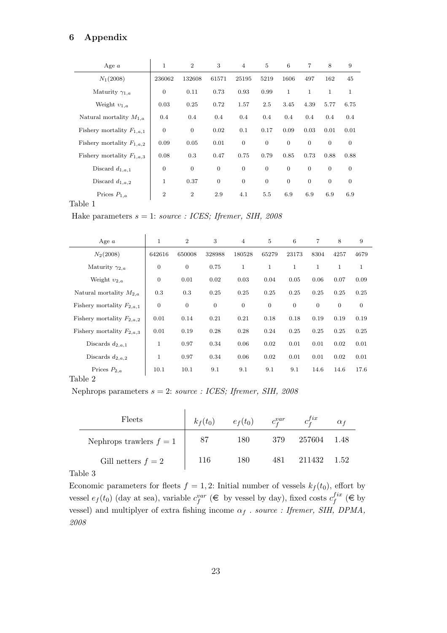# 6 Appendix

| Age $a$                       | 1              | 2                | 3            | $\overline{4}$   | $\overline{5}$   | 6            | 7            | 8              | 9            |
|-------------------------------|----------------|------------------|--------------|------------------|------------------|--------------|--------------|----------------|--------------|
| $N_1(2008)$                   | 236062         | 132608           | 61571        | 25195            | 5219             | 1606         | 497          | 162            | 45           |
| Maturity $\gamma_{1,a}$       | $\overline{0}$ | 0.11             | 0.73         | 0.93             | 0.99             | $\mathbf{1}$ | $\mathbf{1}$ | $\mathbf{1}$   | 1            |
| Weight $v_{1,a}$              | 0.03           | 0.25             | 0.72         | 1.57             | 2.5              | 3.45         | 4.39         | 5.77           | 6.75         |
| Natural mortality $M_{1,a}$   | 0.4            | 0.4              | 0.4          | 0.4              | 0.4              | 0.4          | 0.4          | 0.4            | 0.4          |
| Fishery mortality $F_{1,a,1}$ | $\theta$       | $\boldsymbol{0}$ | 0.02         | 0.1              | 0.17             | 0.09         | 0.03         | 0.01           | 0.01         |
| Fishery mortality $F_{1,a,2}$ | 0.09           | 0.05             | 0.01         | $\mathbf{0}$     | $\overline{0}$   | $\mathbf{0}$ | $\theta$     | $\theta$       | $\mathbf{0}$ |
| Fishery mortality $F_{1,a,3}$ | 0.08           | 0.3              | 0.47         | 0.75             | 0.79             | 0.85         | 0.73         | 0.88           | 0.88         |
| Discard $d_{1,a,1}$           | $\overline{0}$ | $\boldsymbol{0}$ | $\mathbf{0}$ | $\boldsymbol{0}$ | $\boldsymbol{0}$ | $\mathbf{0}$ | $\theta$     | $\overline{0}$ | $\mathbf{0}$ |
| Discard $d_{1,a,2}$           | $\mathbf 1$    | 0.37             | $\mathbf{0}$ | $\mathbf{0}$     | $\mathbf{0}$     | $\mathbf{0}$ | $\mathbf{0}$ | $\mathbf{0}$   | $\mathbf{0}$ |
| Prices $P_{1,a}$              | $\overline{2}$ | $\overline{2}$   | 2.9          | 4.1              | 5.5              | 6.9          | 6.9          | 6.9            | 6.9          |
| 1111                          |                |                  |              |                  |                  |              |              |                |              |

# Table 1

Hake parameters  $s = 1$ : source : ICES; Ifremer, SIH, 2008

| Age $a$                       | $\mathbf{1}$ | $\overline{2}$ | 3                | $\overline{4}$ | 5              | 6            | 7            | 8              | 9            |
|-------------------------------|--------------|----------------|------------------|----------------|----------------|--------------|--------------|----------------|--------------|
| $N_2(2008)$                   | 642616       | 650008         | 328988           | 180528         | 65279          | 23173        | 8304         | 4257           | 4679         |
| Maturity $\gamma_{2,a}$       | $\mathbf{0}$ | $\mathbf{0}$   | 0.75             | $\mathbf{1}$   | $\mathbf{1}$   | $\mathbf{1}$ | $\mathbf{1}$ | $\mathbf{1}$   | $\mathbf{1}$ |
| Weight $v_{2,a}$              | $\mathbf{0}$ | 0.01           | 0.02             | 0.03           | 0.04           | 0.05         | 0.06         | 0.07           | 0.09         |
| Natural mortality $M_{2,a}$   | 0.3          | 0.3            | 0.25             | 0.25           | 0.25           | 0.25         | 0.25         | 0.25           | 0.25         |
| Fishery mortality $F_{2,a,1}$ | $\mathbf{0}$ | $\overline{0}$ | $\boldsymbol{0}$ | $\overline{0}$ | $\overline{0}$ | $\theta$     | $\theta$     | $\overline{0}$ | $\mathbf{0}$ |
| Fishery mortality $F_{2,a,2}$ | 0.01         | 0.14           | 0.21             | 0.21           | 0.18           | 0.18         | 0.19         | 0.19           | 0.19         |
| Fishery mortality $F_{2,a,3}$ | 0.01         | 0.19           | 0.28             | 0.28           | 0.24           | 0.25         | 0.25         | 0.25           | 0.25         |
| Discards $d_{2,a,1}$          | $\mathbf 1$  | 0.97           | 0.34             | 0.06           | 0.02           | 0.01         | 0.01         | 0.02           | 0.01         |
| Discards $d_{2,a,2}$          | $\mathbf 1$  | 0.97           | 0.34             | 0.06           | 0.02           | 0.01         | 0.01         | 0.02           | 0.01         |
| Prices $P_{2,a}$              | 10.1         | 10.1           | 9.1              | 9.1            | 9.1            | 9.1          | 14.6         | 14.6           | 17.6         |
| Table 2                       |              |                |                  |                |                |              |              |                |              |

Nephrops parameters  $s = 2$ : source : ICES; Ifremer, SIH, 2008

| Fleets                    | $k_f(t_0)$ | $e_f(t_0)$ | $c^{var}_{\mathbf{f}}$ | $c_{\mathbf{r}}^{fix}$ |        |
|---------------------------|------------|------------|------------------------|------------------------|--------|
| Nephrops trawlers $f = 1$ | 87         | 180        | 379                    | 257604                 | - 1.48 |
| Gill netters $f = 2$      | 116        | 180        | 481                    | 211432                 | 1.52   |

Table 3

Economic parameters for fleets  $f = 1, 2$ : Initial number of vessels  $k_f(t_0)$ , effort by vessel  $e_f(t_0)$  (day at sea), variable  $c_f^{var} \in \mathbb{R}$  by vessel by day), fixed costs  $c_f^{fix}$  $f^{ix}_f$  (€ by vessel) and multiplyer of extra fishing income  $\alpha_f$  . source : Ifremer, SIH, DPMA, 2008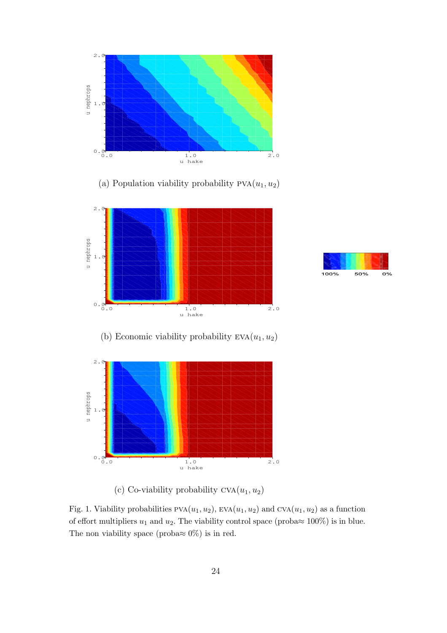

(a) Population viability probability  $PVA(u_1, u_2)$ 



(b) Economic viability probability  $EVA(u_1, u_2)$ 





(c) Co-viability probability  $CVA(u_1, u_2)$ 

Fig. 1. Viability probabilities  $PVA(u_1, u_2)$ ,  $EVA(u_1, u_2)$  and  $CVA(u_1, u_2)$  as a function of effort multipliers  $u_1$  and  $u_2$ . The viability control space (proba $\approx 100\%$ ) is in blue. The non viability space (proba $\approx 0\%$ ) is in red.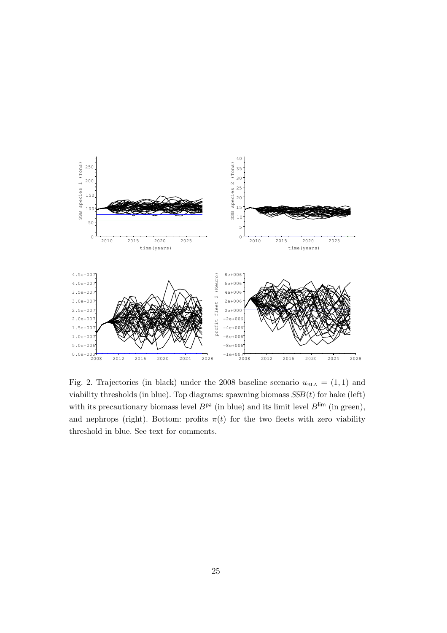

Fig. 2. Trajectories (in black) under the 2008 baseline scenario  $u_{\text{BLA}} = (1, 1)$  and viability thresholds (in blue). Top diagrams: spawning biomass  $SSB(t)$  for hake (left) with its precautionary biomass level  $B^{pa}$  (in blue) and its limit level  $B^{lim}$  (in green), and nephrops (right). Bottom: profits  $\pi(t)$  for the two fleets with zero viability threshold in blue. See text for comments.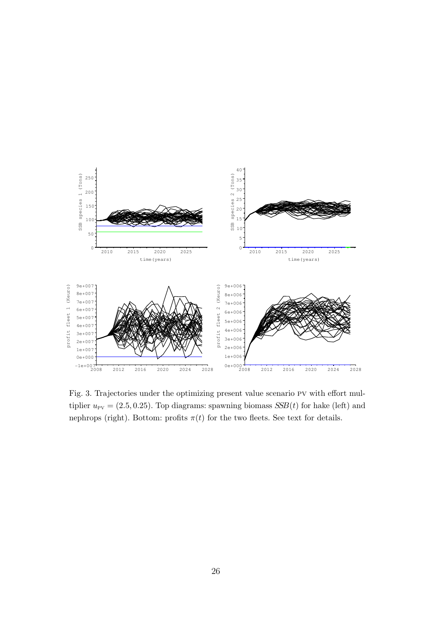

Fig. 3. Trajectories under the optimizing present value scenario pv with effort multiplier  $u_{\text{PV}} = (2.5, 0.25)$ . Top diagrams: spawning biomass  $SSB(t)$  for hake (left) and nephrops (right). Bottom: profits  $\pi(t)$  for the two fleets. See text for details.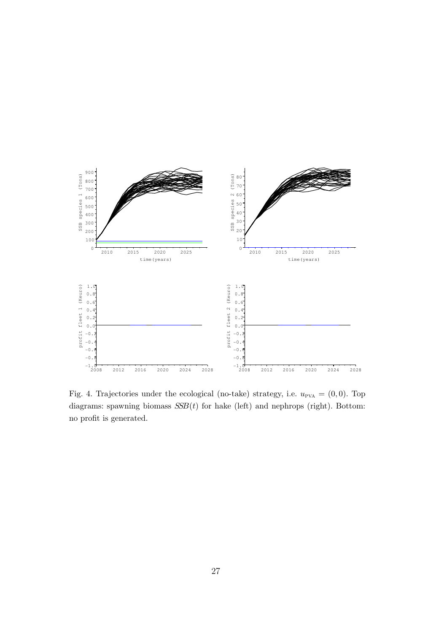

Fig. 4. Trajectories under the ecological (no-take) strategy, i.e.  $u_{PVA} = (0, 0)$ . Top diagrams: spawning biomass  $SSB(t)$  for hake (left) and nephrops (right). Bottom: no profit is generated.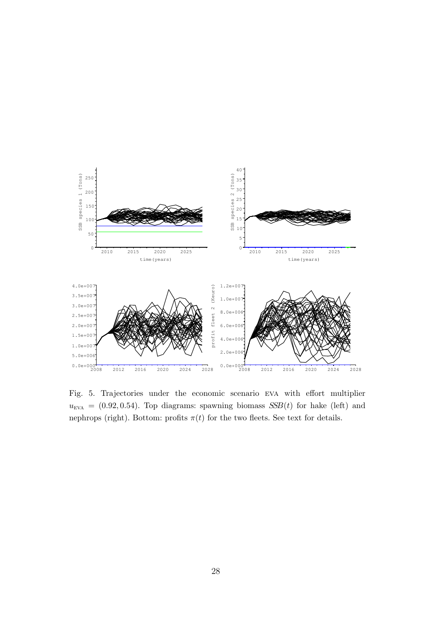

Fig. 5. Trajectories under the economic scenario eva with effort multiplier  $u_{\text{EVA}} = (0.92, 0.54)$ . Top diagrams: spawning biomass  $SSB(t)$  for hake (left) and nephrops (right). Bottom: profits  $\pi(t)$  for the two fleets. See text for details.